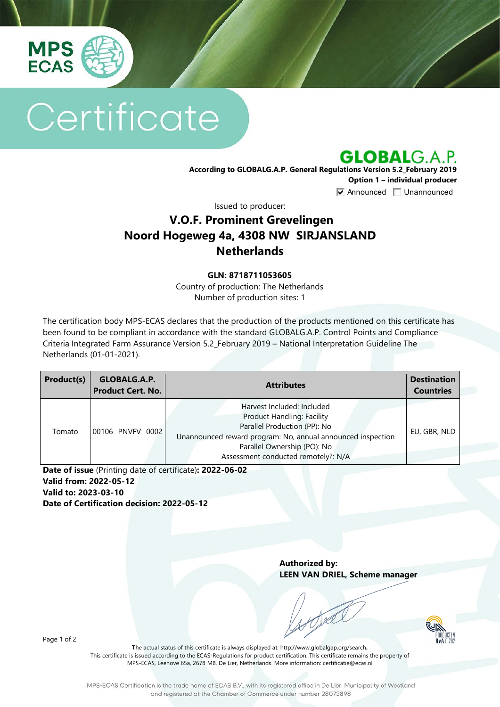

# Certificate

**GLOBALG.A.P.** 

**According to GLOBALG.A.P. General Regulations Version 5.2\_February 2019 Option 1 – individual producer**  $\nabla$  Announced  $\nabla$  Unannounced

Issued to producer:

## **V.O.F. Prominent Grevelingen Noord Hogeweg 4a, 4308 NW SIRJANSLAND Netherlands**

#### **GLN: 8718711053605**

Country of production: The Netherlands Number of production sites: 1

The certification body MPS-ECAS declares that the production of the products mentioned on this certificate has been found to be compliant in accordance with the standard GLOBALG.A.P. Control Points and Compliance Criteria Integrated Farm Assurance Version 5.2\_February 2019 – National Interpretation Guideline The Netherlands (01-01-2021).

| Product(s) | GLOBALG.A.P.<br><b>Product Cert. No.</b> | <b>Attributes</b>                                                                                                                                                                                                                    | <b>Destination</b><br><b>Countries</b> |
|------------|------------------------------------------|--------------------------------------------------------------------------------------------------------------------------------------------------------------------------------------------------------------------------------------|----------------------------------------|
| Tomato     | 00106- PNVFV-0002                        | Harvest Included: Included<br><b>Product Handling: Facility</b><br>Parallel Production (PP): No<br>Unannounced reward program: No, annual announced inspection<br>Parallel Ownership (PO): No<br>Assessment conducted remotely?: N/A | EU, GBR, NLD                           |

**Date of issue** (Printing date of certificate)**: 2022-06-02 Valid from: 2022-05-12 Valid to: 2023-03-10 Date of Certification decision: 2022-05-12**

> **Authorized by: LEEN VAN DRIEL, Scheme manager**

Page 1 of 2

The actual status of this certificate is always displayed at: <http://www.globalgap.org/search>**.**  This certificate is issued according to the ECAS-Regulations for product certification. This certificate remains the property of MPS-ECAS, Leehove 65a, 2678 MB, De Lier, Netherlands. More information[: certificatie@ecas.nl](mailto:certificatie@ecas.nl)